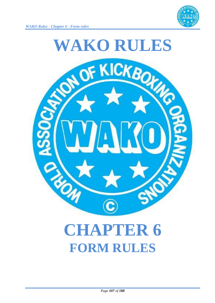



# **CHAPTER 6 FORM RULES**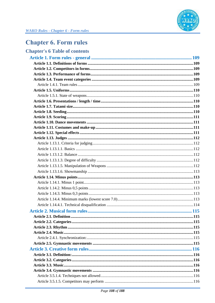

# **Chapter 6. Form rules**

# **Chapter's 6 Table of contents**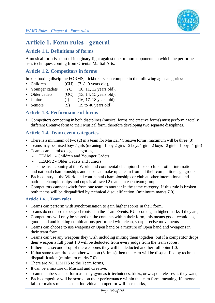

# **Article 1. Form rules - general**

## **Article 1.1. Definitions of forms**

A musical form is a sort of imaginary fight against one or more opponents in which the performer uses techniques coming from Oriental Martial Arts.

## **Article 1.2. Competitors in forms**

In kickboxing discipline FORMS, kickboxers can compete in the following age categories:

- Children  $(CH)$   $(7, 8, 9$  years old),
- Younger cadets (YC) (10, 11, 12 years old),
- Older cadets  $(OC)$   $(13, 14, 15$  years old),
- Juniors (J)  $(16, 17, 18 \text{ years old}),$
- Seniors (S) (19 to 40 years old)

#### **Article 1.3. Performance of forms**

• Competitors competing in both disciplines (musical forms and creative forms) must perform a totally different Creative form to their Musical form, therefore developing two separate disciplines.

## **Article 1.4. Team event categories**

- There is a minimum of two  $(2)$  in a team for Musical / Creative forms, maximum will be three  $(3)$
- Teams may be mixed boys / girls (meaning 1 boy 2 girls 2 boys 1 girl 2 boys 2 girls 1 boy 1 girl)
- Teams can be mixed age categories, ie.
	- TEAM 1 Children and Younger Cadets
	- TEAM 2 Older Cadets and Juniors
- This means a country at the World and continental championships or club at other international and national championships and cups can make up a team from all their competitors age groups
- Each country at the World and continental championships or club at other international and national championships and cups is allowed 2 teams in each team group
- Competitors cannot switch from one team to another in the same category. If this rule is broken both teams will be disqualified by technical disqualification, (minimum marks 7.0)

#### **Article 1.4.1. Team rules**

- Teams can perform with synchronisation to gain higher scores in their form.
- Teams do not need to be synchronised in the Team Events, BUT could gain higher marks if they are,
- Competitors will only be scored on the contents within their form, this means good techniques, good hand and kicking combinations performed with clean, sharp precise movements
- Teams can choose to use weapons or Open hand or a mixture of Open hand and Weapons in their team form,
- Teams can use any weapons they wish including mixing them together, but if a competitor drops their weapon a full point 1.0 will be deducted from every judge from the team scores,
- If there is a second drop of the weapon/s they will be deducted another full point 1.0,
- If that same team drops another weapon (3 times) then the team will be disqualified by technical disqualification (minimum marks 7.0)
- There are NO LIMITS to the Team forms,
- It can be a mixture of Musical and Creative,
- Team members can perform as many gymnastic techniques, tricks, or weapon releases as they want,
- Each competitor will be scored on their performance within the team form, meaning, If anyone falls or makes mistakes that individual competitor will lose marks,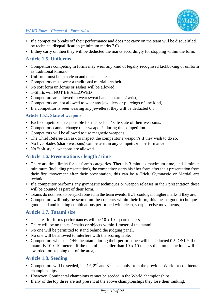

- If a competitor breaks off their performance and does not carry on the team will be disqualified by technical disqualification (minimum marks 7.0)
- If they carry on then they will be deducted the marks accordingly for stopping within the form,

## **Article 1.5. Uniforms**

- Competitors competing in forms may wear any kind of legally recognised kickboxing or uniform as traditional kimono,
- Uniform must be in a clean and decent state,
- Competitors must wear a traditional martial arts belt,
- No soft form uniforms or sashes will be allowed.
- T-Shirts will NOT BE ALLOWED
- Competitors are allowed to wear sweat bands on arms / wrist,
- Competitors are not allowed to wear any jewellery or piercings of any kind,
- If a competitor is seen wearing any jewellery, they will be deducted 0.3

#### **Article 1.5.1. State of weapons**

- Each competitor is responsible for the perfect / safe state of their weapon/s.
- Competitors cannot change their weapon/s during the competition.
- Competitors will be allowed to use magnetic weapons,
- The Chief Referee can ask to inspect the competitor's weapon/s if they wish to do so.
- No live blades (sharp weapons) can be used in any competitor's performance
- No "soft style" weapons are allowed.

## **Article 1.6. Presentations / length / time**

- There are time limits for all form's categories. There is 3 minutes maximum time, and 1 minute minimum (including presentation), the competitor starts his / her form after their presentation from their first movement after their presentation, this can be a Trick, Gymnastic or Martial arts technique,
- If a competitor performs any gymnastic techniques or weapon releases in their presentation these will be counted as part of their form,
- Teams do not need to be synchronised in the team events, BUT could gain higher marks if they are,
- Competitors will only be scored on the contents within their form, this means good techniques, good hand and kicking combinations performed with clean, sharp precise movements,

## **Article 1.7. Tatami size**

- The area for forms performances will be 10 x 10 square meters,
- There will be no tables / chairs or objects within 1 meter of the tatami,
- No one will be permitted to stand behind the judging panel,
- No one will be allowed to interfere with the scoring table,
- Competitors who step OFF the tatami during their performance will be deducted 0.5, ONLY if the tatami is 10 x 10 meters. If the tatami is smaller than 10 x 10 meters then no deductions will be awarded for stepping out of the area,

## **Article 1.8. Seeding**

- Competitors will be seeded, i.e.  $1^{st}$ ,  $2^{nd}$  and  $3^{rd}$  place only from the previous World or continental championships.
- However, Continental champions cannot be seeded in the World championships.
- If any of the top three are not present at the above championships they lose their ranking.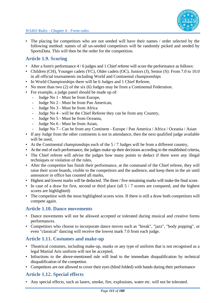• The placing for competitors who are not seeded will have their names / order selected by the following method: names of all un-seeded competitors will be randomly picked and seeded by SportsData. This will then be the order for the competition.

## **Article 1.9. Scoring**

- After a form's performance 4 / 6 judges and 1 Chief referee will score the performance as follows:
- Children (CH), Younger cadets (YC), Older cadets (OC), Juniors (J), Senior (S): From 7.0 to 10.0 in all official tournaments including World and Continental championships
- In World Championships there will be 6 Judges and 1 Chief Referee,
- No more than two (2) of the six (6) Judges may be from a Continental Federation.
- For example, a judge panel should be made up of:
	- Judge No 1 Must be from Europe,
	- Judge No 2 Must be from Pan American,
	- Judge No 3 Must be from Africa
	- Judge No 4 will be the Chief Referee they can be from any Country,
	- Judge No 5 Must be from Oceania,
	- Judge No 6 Must be from Asian,
	- Judge No 7 Can be from any Continent Europe / Pan America / Africa / Oceania / Asian
- If any Judge from the other continents is not in attendance, then the next qualified judge available will be used,
- At the Continental championships each of the  $5/7$  Judges will be from a different country,
- At the end of each performance, the judges make up their decisions according to the established criteria,
- The Chief referee will advise the judges how many points to deduct if there were any illegal techniques or violation of the rules,
- After the competitor has finish their performance, at the command of the Chief referee, they will raise their score boards, visible to the competitors and the audience, and keep them in the air until announcer in office has counted all marks,
- Highest and lowest marks will be deducted. The three / five remaining marks will make the final score.
- In case of a draw for first, second or third place (all 5 / 7 scores are compared, and the highest scores are highlighted)
- The competitor with the most highlighted scores wins. If there is still a draw both competitors will compete again.

#### **Article 1.10. Dance movements**

- Dance movements will not be allowed accepted or tolerated during musical and creative forms performances.
- Competitors who choose to incorporate dance moves such as "break", "jazz", "body popping", or even "classical" dancing will receive the lowest mark 7.0 from each judge.

## **Article 1.11. Costumes and make-up**

- Theatrical costumes, including make-up, masks or any type of uniform that is not recognised as a legal Martial Arts uniform will not be accepted,
- Infractions to the above-mentioned rule will lead to the immediate disqualification by technical disqualification of the competitor.
- Competitors are not allowed to cover their eyes (blind folded) with bands during their performance

## **Article 1.12. Special effects**

• Any special effects, such as lasers, smoke, fire, explosions, water etc. will not be tolerated.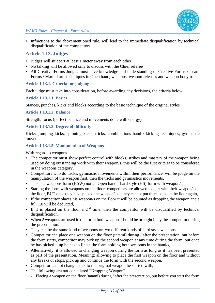

• Infractions to the abovementioned rule, will lead to the immediate disqualification by technical disqualification of the competitors.

### **Article 1.13. Judges**

- Judges will sit apart at least 1 meter away from each other,
- No talking will be allowed only to discuss with the Chief referee
- All Creative Forms Judges must have knowledge and understanding of Creative Forms / Team Forms / Martial arts techniques in Open hand, weapons, weapon releases and weapon body rolls,

#### **Article 1.13.1. Criteria for judging**

Each judge must take into consideration, before awarding any decisions, the criteria below:

#### **Article 1.13.1.1. Basics**

Stances, punches, kicks and blocks according to the basic technique of the original styles

#### **Article 1.13.1.2. Balance**

Strength, focus (perfect balance and movements done with energy)

#### **Article 1.13.1.3. Degree of difficulty**

Kicks, jumping kicks, spinning kicks, tricks, combinations hand / kicking techniques, gymnastic movements

#### **Article 1.13.1.5. Manipulation of Weapons**

With regard to weapons.

- The competitor must show perfect control with blocks, strikes and mastery of the weapon being used by doing outstanding work with their weapon/s, this will be the first criteria to be considered in the weapons category,
- Competitors who do tricks, gymnastic movements within their performance, will be judge on the manipulation of the weapon first, then the tricks and gymnastics movements,
- This is a weapons form (HSW) not an Open hand hard style (HS) form with weapon/s,
- Starting the form with weapons on the floor: competitors are allowed to start with their weapon/s on the floor, BUT once they have picked the weapon/s up they cannot put them back on the floor again,
- If the competitor places his weapon/s on the floor it will be counted as dropping the weapon and a full 1.0 will be deducted,
- If it is placed on the floor a  $2<sup>nd</sup>$  time, then the competitor will be disqualified by technical disqualification.
- When 2 weapons are used in the form: both weapons should be brought in by the competitor during the presentation.
- They can be the same kind of weapons or two different kinds of hard style weapons,
- Competitor can place one weapon on the floor (tatami) during / after the presentation, but before the form starts, competitor may pick up the second weapon at any time during the form, but once he has picked it up he has to finish the form holding both weapons in the hand/s,
- Alternatively, it is allowed to changing weapon during the form as long as it has been presented as part of the presentation. Meaning: allowing to place the first weapon on the floor and without any breaks or stops, pick up and continue the form with the second weapon,
- Competitor cannot change back to the original weapon he started with,
- The following are not considered "Dropping Weapon"
	- Placing a weapon on the floor (tatami) during / after the presentation, but before you start the form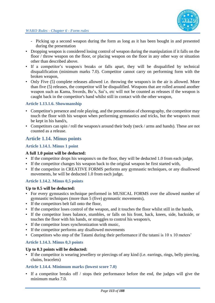- Picking up a second weapon during the form as long as it has been bought in and presented during the presentation
- Dropping weapon is considered losing control of weapon during the manipulation if it falls on the floor / throw weapon on the floor, or placing weapon on the floor in any other way or situation other than described above.
- If a competitor's weapon/s breaks or falls apart, they will be disqualified by technical disqualification (minimum marks 7.0). Competitor cannot carry on performing form with the broken weapon,
- Only Five (5) complete releases allowed i.e. throwing the weapon/s in the air is allowed. More than five (5) releases, the competitor will be disqualified. Weapons that are rolled around another weapon such as Kama, Swords, Bo's, Sai's, etc will not be counted as releases if the weapon is caught back in the competitor's hand whilst still in contact with the other weapon,

#### **Article 1.13.1.6. Showmanship**

- Competitor's presence and role playing, and the presentation of choreography, the competitor may touch the floor with his weapon when performing gymnastics and tricks, but the weapon/s must be kept in his hand/s,
- Competitors can spin / roll the weapon/s around their body (neck / arms and hands). These are not counted as a release.

#### **Article 1.14. Minus points**

#### **Article 1.14.1. Minus 1 point**

#### **A full 1.0 point will be deducted:**

- If the competitor drops his weapons/s on the floor, they will be deducted 1.0 from each judge,
- If the competitor changes his weapon back to the original weapon he first started with,
- If the competitor in CREATIVE FORMS performs any gymnastic techniques, or any disallowed movements, he will be deducted 1.0 from each judge,

#### **Article 1.14.2. Minus 0,5 points**

#### **Up to 0.5 will be deducted:**

- For every gymnastics technique performed in MUSICAL FORMS over the allowed number of gymnastic techniques (more than 5 (five) gymnastic movements),
- If the competitors belt fall onto the floor,
- If the competitor loses control of the weapon, and it touches the floor whilst still in the hands,
- If the competitor loses balance, stumbles, or falls on his front, back, knees, side, backside, or touches the floor with his hands, or struggles to control his weapon/s,
- If the competitor loses synchronization with music,
- If the competitor performs any disallowed movements
- Competitors who step of the Tatami during their performance if the tatami is 10 x 10 meters'

#### **Article 1.14.3. Minus 0,3 points**

#### **Up to 0.3 points will be deducted:**

• If the competitor is wearing jewellery or piercings of any kind (i.e. earrings, rings, belly piercing, chains, bracelets)

#### **Article 1.14.4. Minimum marks (lowest score 7.0)**

If a competitor breaks off / stops their performance before the end, the judges will give the minimum marks 7.0.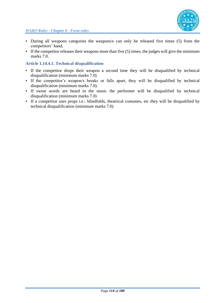

- During all weapons categories the weapons/s can only be released five times (5) from the competitors' hand,
- If the competitor releases their weapons more than five (5) times, the judges will give the minimum marks 7.0.

#### **Article 1.14.4.1. Technical disqualification**

- If the competitor drops their weapon a second time they will be disqualified by technical disqualification (minimum marks 7.0)
- If the competitor's weapon/s breaks or falls apart, they will be disqualified by technical disqualification (minimum marks 7.0).
- If swear words are heard in the music the performer will be disqualified by technical disqualification (minimum marks 7.0)
- If a competitor uses props i.e.: blindfolds, theatrical costumes, etc they will be disqualified by technical disqualification (minimum marks 7.0)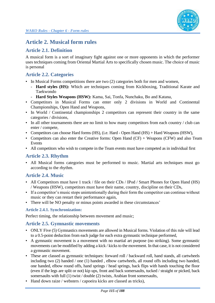# **Article 2. Musical form rules**

## **Article 2.1. Definition**

A musical form is a sort of imaginary fight against one or more opponents in which the performer uses techniques coming from Oriental Martial Arts to specifically chosen music. The choice of music is personal

## **Article 2.2. Categories**

- In Musical Forms competitions there are two (2) categories both for men and women,
	- **Hard styles (HS):** Which are techniques coming from Kickboxing, Traditional Karate and Taekwondo
	- **Hard Styles Weapons (HSW):** Kama, Sai, Tonfa, Nunchaku, Bo and Katana,
- Competitors in Musical Forms can enter only 2 divisions in World and Continental Championships, Open Hand and Weapons,
- In World / Continental championships 2 competitors can represent their country in the same categories / divisions,
- In all other tournaments there are no limit to how many competitors from each country / club can enter / compete,
- Competitors can choose Hard forms (HS), (i.e. Hard Open Hand (HS) + Hard Weapons (HSW),
- Competitors can also enter the Creative forms: Open Hand (CF) + Weapons (CFW) and also Team Events
- All competitors who wish to compete in the Team events must have competed as in individual first

## **Article 2.3. Rhythm**

• All Musical forms categories must be performed to music. Martial arts techniques must go according to the rhythm.

## **Article 2.4. Music**

- All Competitors must have 1 track / file on their CDs / IPod / Smart Phones for Open Hand (HS) / Weapons (HSW), competitors must have their name, country, discipline on their CDs,
- If a competitor's music stops unintentionally during their form the competitor can continue without music or they can restart their performance again,
- There will be NO penalty or minus points awarded in these circumstances'

#### **Article 2.4.1. Synchronization:**

Perfect timing, the relationship between movement and music;

## **Article 2.5. Gymnastic movements**

- ONLY Five (5) Gymnastics movements are allowed in Musical forms. Violation of this rule will lead to a 0.5-point deduction from each judge for each extra gymnastic technique performed,
- A gymnastic movement is a movement with no martial art purpose (no striking). Some gymnastic movements can be modified by adding a kick / kicks to the movement. In that case, it is not considered a gymnastic movement.
- These are classed as gymnastic techniques: forward roll / backward roll, hand stands, all cartwheels including two (2) handed / one (1) handed , elbow cartwheels, all round offs including two handed, one handed, elbow round offs, hand springs / head springs, back flips with hands touching the floor (even if the legs are split or not) kip ups, front and back somersaults, tucked / straight or picked, back somersaults with full (1) twist / double (2) twists, Arabian front somersaults,
- Hand down raize / websters / capoeira kicks are classed as tricks),